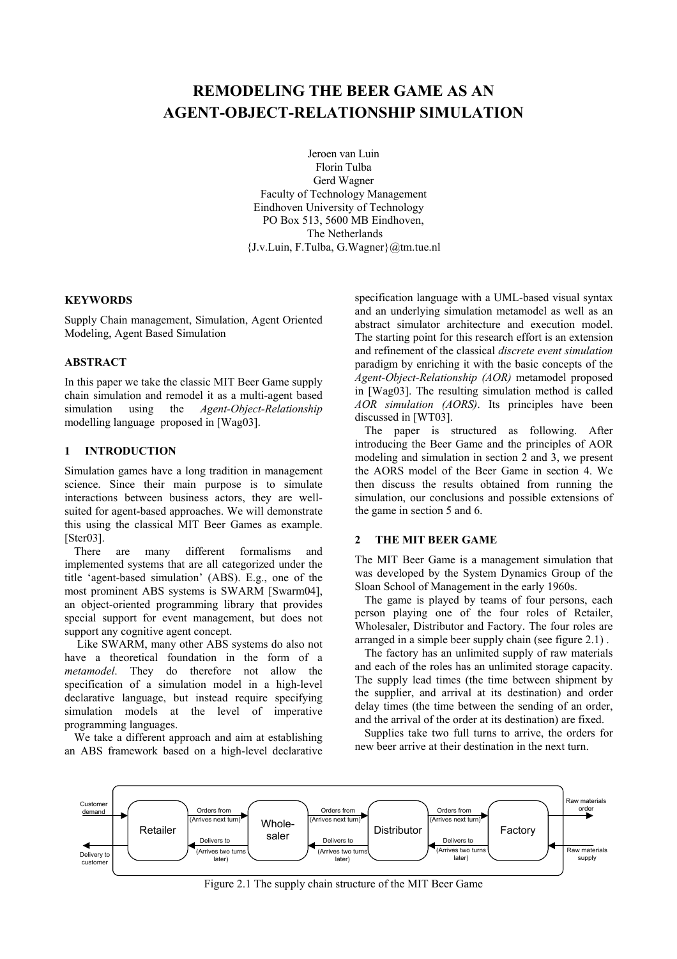# **REMODELING THE BEER GAME AS AN AGENT-OBJECT-RELATIONSHIP SIMULATION**

Jeroen van Luin Florin Tulba Gerd Wagner Faculty of Technology Management Eindhoven University of Technology PO Box 513, 5600 MB Eindhoven, The Netherlands {J.v.Luin, F.Tulba, G.Wagner}@tm.tue.nl

#### **KEYWORDS**

Supply Chain management, Simulation, Agent Oriented Modeling, Agent Based Simulation

## **ABSTRACT**

In this paper we take the classic MIT Beer Game supply chain simulation and remodel it as a multi-agent based simulation using the *Agent-Object-Relationship*  modelling language proposed in [Wag03].

## **1 INTRODUCTION**

Simulation games have a long tradition in management science. Since their main purpose is to simulate interactions between business actors, they are wellsuited for agent-based approaches. We will demonstrate this using the classical MIT Beer Games as example. [Ster03].

There are many different formalisms and implemented systems that are all categorized under the title 'agent-based simulation' (ABS). E.g., one of the most prominent ABS systems is SWARM [Swarm04], an object-oriented programming library that provides special support for event management, but does not support any cognitive agent concept.

 Like SWARM, many other ABS systems do also not have a theoretical foundation in the form of a *metamodel*. They do therefore not allow the specification of a simulation model in a high-level declarative language, but instead require specifying simulation models at the level of imperative programming languages.

We take a different approach and aim at establishing an ABS framework based on a high-level declarative specification language with a UML-based visual syntax and an underlying simulation metamodel as well as an abstract simulator architecture and execution model. The starting point for this research effort is an extension and refinement of the classical *discrete event simulation* paradigm by enriching it with the basic concepts of the *Agent-Object-Relationship (AOR)* metamodel proposed in [Wag03]. The resulting simulation method is called *AOR simulation (AORS)*. Its principles have been discussed in [WT03].

The paper is structured as following. After introducing the Beer Game and the principles of AOR modeling and simulation in section 2 and 3, we present the AORS model of the Beer Game in section 4. We then discuss the results obtained from running the simulation, our conclusions and possible extensions of the game in section 5 and 6.

#### **2 THE MIT BEER GAME**

The MIT Beer Game is a management simulation that was developed by the System Dynamics Group of the Sloan School of Management in the early 1960s.

The game is played by teams of four persons, each person playing one of the four roles of Retailer, Wholesaler, Distributor and Factory. The four roles are arranged in a simple beer supply chain (see figure 2.1) .

The factory has an unlimited supply of raw materials and each of the roles has an unlimited storage capacity. The supply lead times (the time between shipment by the supplier, and arrival at its destination) and order delay times (the time between the sending of an order, and the arrival of the order at its destination) are fixed.

Supplies take two full turns to arrive, the orders for new beer arrive at their destination in the next turn.



Figure 2.1 The supply chain structure of the MIT Beer Game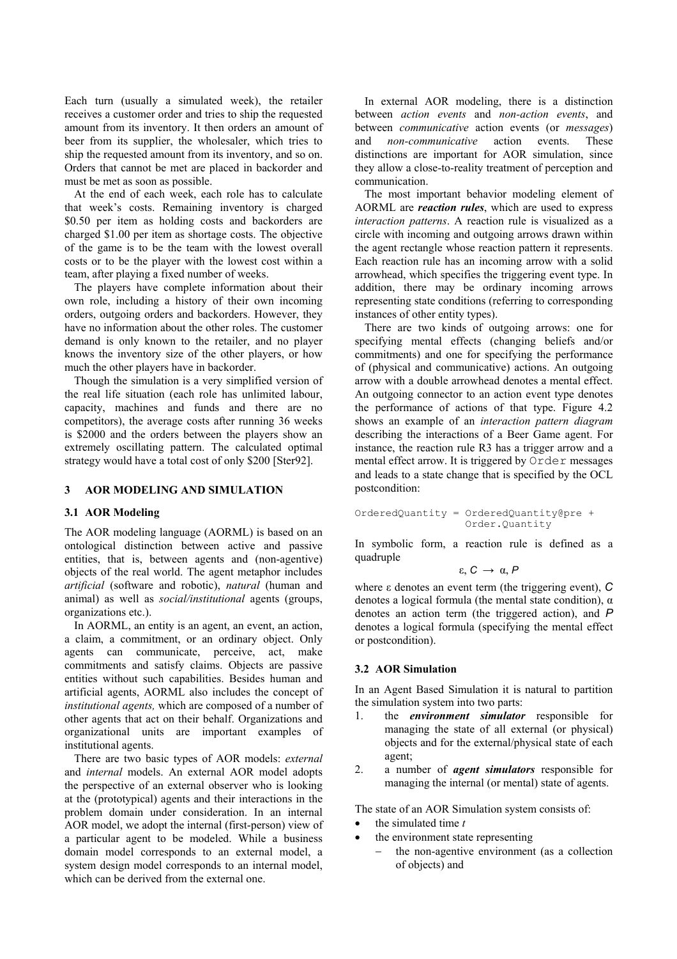Each turn (usually a simulated week), the retailer receives a customer order and tries to ship the requested amount from its inventory. It then orders an amount of beer from its supplier, the wholesaler, which tries to ship the requested amount from its inventory, and so on. Orders that cannot be met are placed in backorder and must be met as soon as possible.

At the end of each week, each role has to calculate that week's costs. Remaining inventory is charged \$0.50 per item as holding costs and backorders are charged \$1.00 per item as shortage costs. The objective of the game is to be the team with the lowest overall costs or to be the player with the lowest cost within a team, after playing a fixed number of weeks.

The players have complete information about their own role, including a history of their own incoming orders, outgoing orders and backorders. However, they have no information about the other roles. The customer demand is only known to the retailer, and no player knows the inventory size of the other players, or how much the other players have in backorder.

Though the simulation is a very simplified version of the real life situation (each role has unlimited labour, capacity, machines and funds and there are no competitors), the average costs after running 36 weeks is \$2000 and the orders between the players show an extremely oscillating pattern. The calculated optimal strategy would have a total cost of only \$200 [Ster92].

### **3 AOR MODELING AND SIMULATION**

#### **3.1 AOR Modeling**

The AOR modeling language (AORML) is based on an ontological distinction between active and passive entities, that is, between agents and (non-agentive) objects of the real world. The agent metaphor includes *artificial* (software and robotic), *natural* (human and animal) as well as *social/institutional* agents (groups, organizations etc.).

In AORML, an entity is an agent, an event, an action, a claim, a commitment, or an ordinary object. Only agents can communicate, perceive, act, make commitments and satisfy claims. Objects are passive entities without such capabilities. Besides human and artificial agents, AORML also includes the concept of *institutional agents,* which are composed of a number of other agents that act on their behalf. Organizations and organizational units are important examples of institutional agents.

There are two basic types of AOR models: *external* and *internal* models. An external AOR model adopts the perspective of an external observer who is looking at the (prototypical) agents and their interactions in the problem domain under consideration. In an internal AOR model, we adopt the internal (first-person) view of a particular agent to be modeled. While a business domain model corresponds to an external model, a system design model corresponds to an internal model, which can be derived from the external one.

In external AOR modeling, there is a distinction between *action events* and *non-action events*, and between *communicative* action events (or *messages*) and *non-communicative* action events. These distinctions are important for AOR simulation, since they allow a close-to-reality treatment of perception and communication.

The most important behavior modeling element of AORML are *reaction rules*, which are used to express *interaction patterns*. A reaction rule is visualized as a circle with incoming and outgoing arrows drawn within the agent rectangle whose reaction pattern it represents. Each reaction rule has an incoming arrow with a solid arrowhead, which specifies the triggering event type. In addition, there may be ordinary incoming arrows representing state conditions (referring to corresponding instances of other entity types).

There are two kinds of outgoing arrows: one for specifying mental effects (changing beliefs and/or commitments) and one for specifying the performance of (physical and communicative) actions. An outgoing arrow with a double arrowhead denotes a mental effect. An outgoing connector to an action event type denotes the performance of actions of that type. Figure 4.2 shows an example of an *interaction pattern diagram* describing the interactions of a Beer Game agent. For instance, the reaction rule R3 has a trigger arrow and a mental effect arrow. It is triggered by Order messages and leads to a state change that is specified by the OCL postcondition:

OrderedQuantity = OrderedQuantity@pre + Order.Quantity

In symbolic form, a reaction rule is defined as a quadruple

$$
\epsilon,\,C\,\rightarrow\,\alpha,\,P
$$

where ε denotes an event term (the triggering event), *C* denotes a logical formula (the mental state condition),  $\alpha$ denotes an action term (the triggered action), and *P* denotes a logical formula (specifying the mental effect or postcondition).

### **3.2 AOR Simulation**

In an Agent Based Simulation it is natural to partition the simulation system into two parts:

- 1. the *environment simulator* responsible for managing the state of all external (or physical) objects and for the external/physical state of each agent;
- 2. a number of *agent simulators* responsible for managing the internal (or mental) state of agents.

The state of an AOR Simulation system consists of:

- the simulated time *t*
- the environment state representing
	- the non-agentive environment (as a collection of objects) and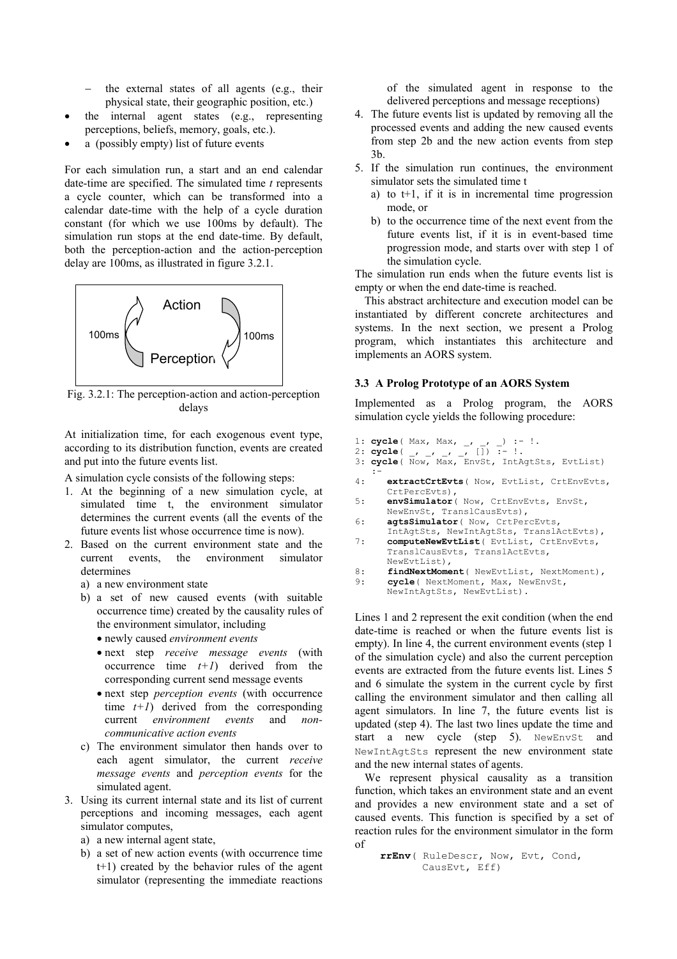- the external states of all agents (e.g., their physical state, their geographic position, etc.)
- the internal agent states (e.g., representing perceptions, beliefs, memory, goals, etc.).
- a (possibly empty) list of future events

For each simulation run, a start and an end calendar date-time are specified. The simulated time *t* represents a cycle counter, which can be transformed into a calendar date-time with the help of a cycle duration constant (for which we use 100ms by default). The simulation run stops at the end date-time. By default, both the perception-action and the action-perception delay are 100ms, as illustrated in figure 3.2.1.



Fig. 3.2.1: The perception-action and action-perception delays

At initialization time, for each exogenous event type, according to its distribution function, events are created and put into the future events list.

A simulation cycle consists of the following steps:

- 1. At the beginning of a new simulation cycle, at simulated time t, the environment simulator determines the current events (all the events of the future events list whose occurrence time is now).
- 2. Based on the current environment state and the current events, the environment simulator determines
	- a) a new environment state
	- b) a set of new caused events (with suitable occurrence time) created by the causality rules of the environment simulator, including
		- newly caused *environment events*
		- next step *receive message events* (with occurrence time  $t+1$ ) derived from the corresponding current send message events
		- next step *perception events* (with occurrence time  $t+1$ ) derived from the corresponding current *environment events* and *noncommunicative action events*
	- c) The environment simulator then hands over to each agent simulator, the current *receive message events* and *perception events* for the simulated agent.
- 3. Using its current internal state and its list of current perceptions and incoming messages, each agent simulator computes,
	- a) a new internal agent state,
	- b) a set of new action events (with occurrence time t+1) created by the behavior rules of the agent simulator (representing the immediate reactions

of the simulated agent in response to the delivered perceptions and message receptions)

- 4. The future events list is updated by removing all the processed events and adding the new caused events from step 2b and the new action events from step 3b.
- 5. If the simulation run continues, the environment simulator sets the simulated time t
	- a) to  $t+1$ , if it is in incremental time progression mode, or
	- b) to the occurrence time of the next event from the future events list, if it is in event-based time progression mode, and starts over with step 1 of the simulation cycle.

The simulation run ends when the future events list is empty or when the end date-time is reached.

This abstract architecture and execution model can be instantiated by different concrete architectures and systems. In the next section, we present a Prolog program, which instantiates this architecture and implements an AORS system.

#### **3.3 A Prolog Prototype of an AORS System**

Implemented as a Prolog program, the AORS simulation cycle yields the following procedure:

- 1: **cycle**( Max, Max, , , ) :- !.
- 2: **cycle**( \_, \_, \_, \_, []) :- !.
- 3: **cycle**( Now, Max, EnvSt, IntAgtSts, EvtList)  $\cdot$  :  $\cdot$  :
- 4: **extractCrtEvts**( Now, EvtList, CrtEnvEvts, CrtPercEvts),
- 5: **envSimulator**( Now, CrtEnvEvts, EnvSt, NewEnvSt, TranslCausEvts),
- 6: **agtsSimulator**( Now, CrtPercEvts, IntAgtSts, NewIntAgtSts, TranslActEvts),
- 7: **computeNewEvtList**( EvtList, CrtEnvEvts, TranslCausEvts, TranslActEvts, NewEvtList),
- 8: **findNextMoment** ( NewEvtList, NextMoment),<br>9: **cycle** ( NextMoment, Max, NewEnySt,
- cycle ( NextMoment, Max, NewEnvSt,

```
NewIntAgtSts, NewEvtList).
```
Lines 1 and 2 represent the exit condition (when the end date-time is reached or when the future events list is empty). In line 4, the current environment events (step 1 of the simulation cycle) and also the current perception events are extracted from the future events list. Lines 5 and 6 simulate the system in the current cycle by first calling the environment simulator and then calling all agent simulators. In line 7, the future events list is updated (step 4). The last two lines update the time and start a new cycle (step 5). NewEnvSt and NewIntAgtSts represent the new environment state and the new internal states of agents.

We represent physical causality as a transition function, which takes an environment state and an event and provides a new environment state and a set of caused events. This function is specified by a set of reaction rules for the environment simulator in the form of

```
 rrEnv( RuleDescr, Now, Evt, Cond, 
        CausEvt, Eff)
```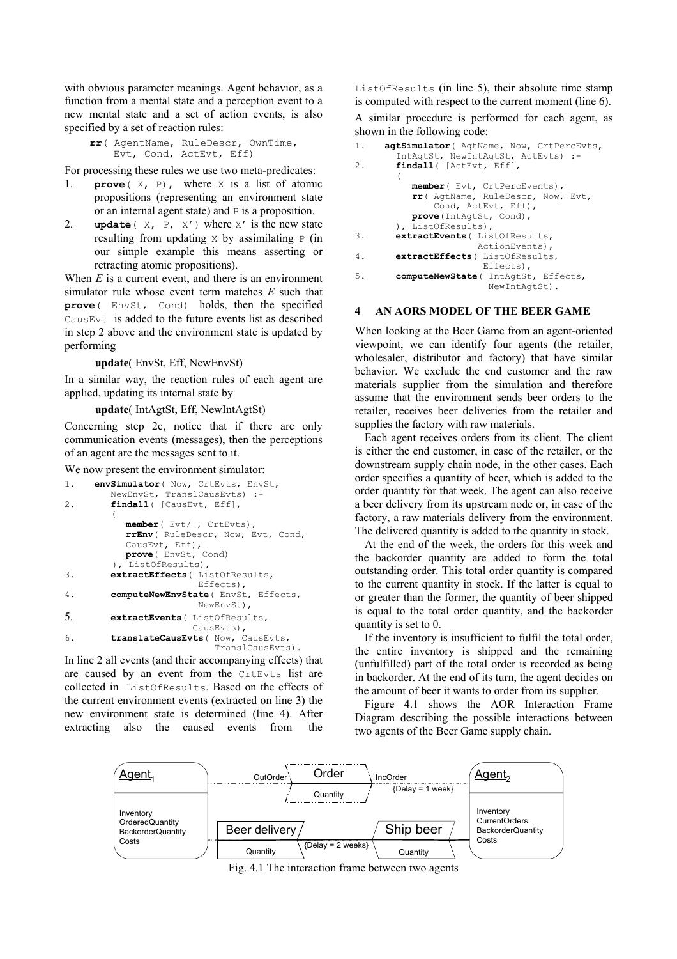with obvious parameter meanings. Agent behavior, as a function from a mental state and a perception event to a new mental state and a set of action events, is also specified by a set of reaction rules:

```
 rr( AgentName, RuleDescr, OwnTime, 
     Evt, Cond, ActEvt, Eff)
```
For processing these rules we use two meta-predicates:

- 1. **prove**( X, P), where X is a list of atomic propositions (representing an environment state or an internal agent state) and P is a proposition.
- 2. **update**  $(X, P, X')$  where  $X'$  is the new state resulting from updating  $\times$  by assimilating  $\times$  (in our simple example this means asserting or retracting atomic propositions).

When *E* is a current event, and there is an environment simulator rule whose event term matches *E* such that **prove**( EnvSt, Cond) holds, then the specified CausEvt is added to the future events list as described in step 2 above and the environment state is updated by performing

 **update**( EnvSt, Eff, NewEnvSt)

In a similar way, the reaction rules of each agent are applied, updating its internal state by

## **update**( IntAgtSt, Eff, NewIntAgtSt)

Concerning step 2c, notice that if there are only communication events (messages), then the perceptions of an agent are the messages sent to it.

We now present the environment simulator:

```
1. envSimulator( Now, CrtEvts, EnvSt, 
          NewEnvSt, TranslCausEvts) :- 
2. findall( [CausEvt, Eff], 
      \overline{a}member( Evt/_, CrtEvts), 
            rrEnv( RuleDescr, Now, Evt, Cond, 
            CausEvt, Eff), 
            prove( EnvSt, Cond) 
a), ListOfResults),<br>3<br>axtractEffects(List
         3. extractEffects( ListOfResults, 
                           Effects), 
4. computeNewEnvState( EnvSt, Effects, 
                           NewEnvSt), 
5. extractEvents( ListOfResults, 
                          CausEvts),
6. translateCausEvts( Now, CausEvts, 
                               TranslCausEvts).
```
In line 2 all events (and their accompanying effects) that are caused by an event from the CrtEvts list are collected in ListOfResults. Based on the effects of the current environment events (extracted on line 3) the new environment state is determined (line 4). After extracting also the caused events from the

ListOfResults (in line 5), their absolute time stamp is computed with respect to the current moment (line 6).

A similar procedure is performed for each agent, as shown in the following code:

```
1. agtSimulator( AgtName, Now, CrtPercEvts, 
       IntAgtSt, NewIntAgtSt, ActEvts) :- 
2. findall( [ActEvt, Eff], 
      \overline{a} member( Evt, CrtPercEvents), 
            rr( AgtName, RuleDescr, Now, Evt, 
                Cond, ActEvt, Eff), 
            prove(IntAgtSt, Cond), 
           ), ListOfResults), 
3. extractEvents( ListOfResults, 
                        ActionEvents), 
4. extractEffects( ListOfResults, 
                         Effects), 
5. computeNewState( IntAgtSt, Effects, 
                          NewIntAgtSt).
```
#### **4 AN AORS MODEL OF THE BEER GAME**

When looking at the Beer Game from an agent-oriented viewpoint, we can identify four agents (the retailer, wholesaler, distributor and factory) that have similar behavior. We exclude the end customer and the raw materials supplier from the simulation and therefore assume that the environment sends beer orders to the retailer, receives beer deliveries from the retailer and supplies the factory with raw materials.

Each agent receives orders from its client. The client is either the end customer, in case of the retailer, or the downstream supply chain node, in the other cases. Each order specifies a quantity of beer, which is added to the order quantity for that week. The agent can also receive a beer delivery from its upstream node or, in case of the factory, a raw materials delivery from the environment. The delivered quantity is added to the quantity in stock.

At the end of the week, the orders for this week and the backorder quantity are added to form the total outstanding order. This total order quantity is compared to the current quantity in stock. If the latter is equal to or greater than the former, the quantity of beer shipped is equal to the total order quantity, and the backorder quantity is set to 0.

If the inventory is insufficient to fulfil the total order, the entire inventory is shipped and the remaining (unfulfilled) part of the total order is recorded as being in backorder. At the end of its turn, the agent decides on the amount of beer it wants to order from its supplier.

Figure 4.1 shows the AOR Interaction Frame Diagram describing the possible interactions between two agents of the Beer Game supply chain.



Fig. 4.1 The interaction frame between two agents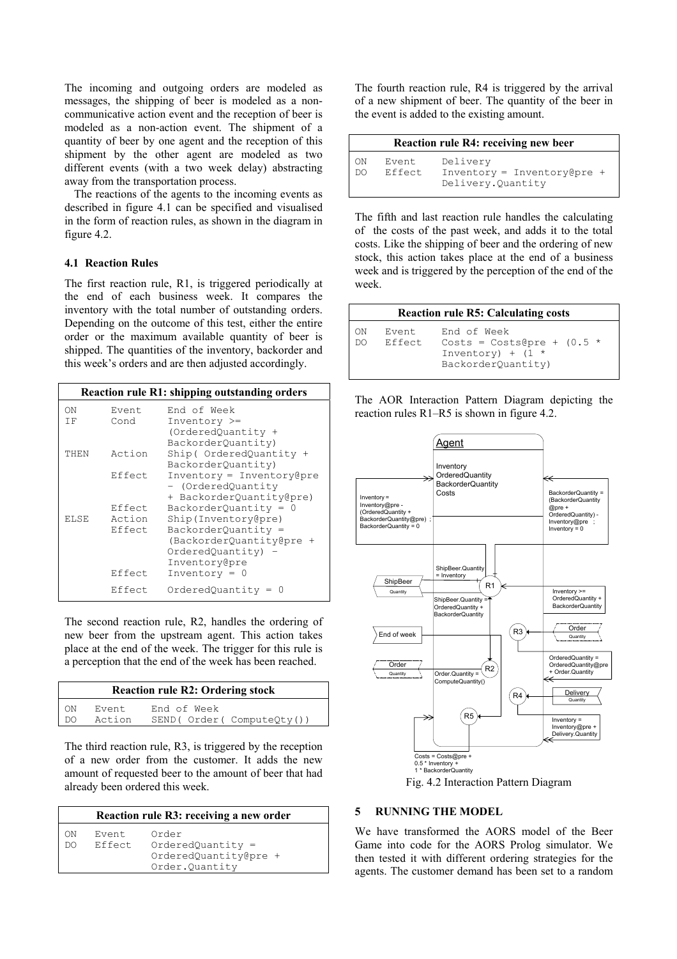The incoming and outgoing orders are modeled as messages, the shipping of beer is modeled as a noncommunicative action event and the reception of beer is modeled as a non-action event. The shipment of a quantity of beer by one agent and the reception of this shipment by the other agent are modeled as two different events (with a two week delay) abstracting away from the transportation process.

The reactions of the agents to the incoming events as described in figure 4.1 can be specified and visualised in the form of reaction rules, as shown in the diagram in figure 4.2.

## **4.1 Reaction Rules**

The first reaction rule, R1, is triggered periodically at the end of each business week. It compares the inventory with the total number of outstanding orders. Depending on the outcome of this test, either the entire order or the maximum available quantity of beer is shipped. The quantities of the inventory, backorder and this week's orders and are then adjusted accordingly.

| <b>Reaction rule R1: shipping outstanding orders</b> |               |                                                                               |
|------------------------------------------------------|---------------|-------------------------------------------------------------------------------|
| OΝ<br>ΤF                                             | Event<br>Cond | End of Week<br>$Inventory$ >=<br>(OrderedOuantity +<br>BackorderQuantity)     |
| THEN                                                 | Action        | Ship ( OrderedQuantity +<br>BackorderQuantity)                                |
|                                                      | Effect        | $Inventory = Inventory@pre$<br>- (OrderedQuantity<br>+ BackorderQuantity@pre) |
|                                                      | Effect        | $BackorderQuantity = 0$                                                       |
| ELSE                                                 | Action        | Ship (Inventory@pre)                                                          |
|                                                      | Effect        | BackorderQuantity =                                                           |
|                                                      |               | (BackorderQuantity@pre +<br>OrderedQuantity) -<br>Inventory@pre               |
|                                                      | Effect        | Inventory = $0$                                                               |
|                                                      | Effect.       | $OrderedQuantity =$                                                           |

The second reaction rule, R2, handles the ordering of new beer from the upstream agent. This action takes place at the end of the week. The trigger for this rule is a perception that the end of the week has been reached.

| <b>Reaction rule R2: Ordering stock</b> |        |                          |  |  |
|-----------------------------------------|--------|--------------------------|--|--|
| ON.                                     | Event. | End of Week              |  |  |
| DO.                                     | Action | SEND(Order(ComputeQty()) |  |  |

The third reaction rule, R3, is triggered by the reception of a new order from the customer. It adds the new amount of requested beer to the amount of beer that had already been ordered this week.

| Reaction rule R3: receiving a new order |                   |                                                                         |
|-----------------------------------------|-------------------|-------------------------------------------------------------------------|
| ON<br>DO.                               | Event.<br>Effect. | Order<br>$OrderedQuantity =$<br>OrderedQuantity@pre +<br>Order.Ouantity |

The fourth reaction rule, R4 is triggered by the arrival of a new shipment of beer. The quantity of the beer in the event is added to the existing amount.

|          | <b>Reaction rule R4: receiving new beer</b> |                                                               |  |
|----------|---------------------------------------------|---------------------------------------------------------------|--|
| ON<br>DO | Event<br>Effect                             | Delivery<br>Inventory = Inventory@pre +<br>Delivery. Quantity |  |

The fifth and last reaction rule handles the calculating of the costs of the past week, and adds it to the total costs. Like the shipping of beer and the ordering of new stock, this action takes place at the end of a business week and is triggered by the perception of the end of the week.

| <b>Reaction rule R5: Calculating costs</b> |                   |                                                                                          |  |
|--------------------------------------------|-------------------|------------------------------------------------------------------------------------------|--|
| ON<br>DO                                   | Event.<br>Effect. | End of Week<br>Costs = Costs@pre + $(0.5 *$<br>Inventory) + $(1 *$<br>BackorderOuantity) |  |

The AOR Interaction Pattern Diagram depicting the reaction rules R1–R5 is shown in figure 4.2.



Fig. 4.2 Interaction Pattern Diagram

## **5 RUNNING THE MODEL**

We have transformed the AORS model of the Beer Game into code for the AORS Prolog simulator. We then tested it with different ordering strategies for the agents. The customer demand has been set to a random